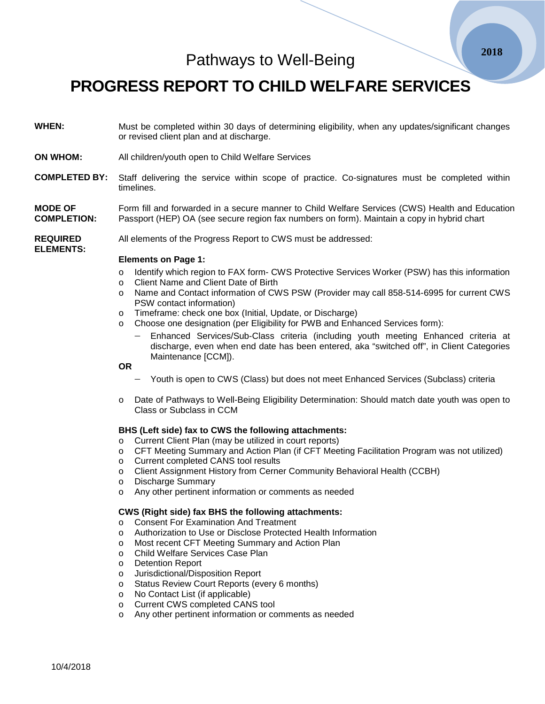Pathways to Well-Being

**PROGRESS REPORT TO CHILD WELFARE SERVICES**

- **WHEN:** Must be completed within 30 days of determining eligibility, when any updates/significant changes or revised client plan and at discharge.
- **ON WHOM:** All children/youth open to Child Welfare Services
- **COMPLETED BY:** Staff delivering the service within scope of practice. Co-signatures must be completed within timelines.

**MODE OF COMPLETION:** Form fill and forwarded in a secure manner to Child Welfare Services (CWS) Health and Education Passport (HEP) OA (see secure region fax numbers on form). Maintain a copy in hybrid chart

**REQUIRED**  All elements of the Progress Report to CWS must be addressed:

#### **Elements on Page 1:**

- o Identify which region to FAX form- CWS Protective Services Worker (PSW) has this information<br>Client Name and Client Date of Birth
- Client Name and Client Date of Birth
- o Name and Contact information of CWS PSW (Provider may call 858-514-6995 for current CWS PSW contact information)
- o Timeframe: check one box (Initial, Update, or Discharge)
- o Choose one designation (per Eligibility for PWB and Enhanced Services form):
	- Enhanced Services/Sub-Class criteria (including youth meeting Enhanced criteria at discharge, even when end date has been entered, aka "switched off", in Client Categories Maintenance [CCM]).

**OR**

**ELEMENTS:**

- − Youth is open to CWS (Class) but does not meet Enhanced Services (Subclass) criteria
- o Date of Pathways to Well-Being Eligibility Determination: Should match date youth was open to Class or Subclass in CCM

## **BHS (Left side) fax to CWS the following attachments:**

- o Current Client Plan (may be utilized in court reports)
- o CFT Meeting Summary and Action Plan (if CFT Meeting Facilitation Program was not utilized)
- o Current completed CANS tool results
- o Client Assignment History from Cerner Community Behavioral Health (CCBH)
- o Discharge Summary<br>
o Any other pertinent in
- Any other pertinent information or comments as needed

## **CWS (Right side) fax BHS the following attachments:**

- o Consent For Examination And Treatment
- o Authorization to Use or Disclose Protected Health Information
- o Most recent CFT Meeting Summary and Action Plan
- o Child Welfare Services Case Plan
- o Detention Report
- o Jurisdictional/Disposition Report
- o Status Review Court Reports (every 6 months)
- o No Contact List (if applicable)
- o Current CWS completed CANS tool
- Any other pertinent information or comments as needed